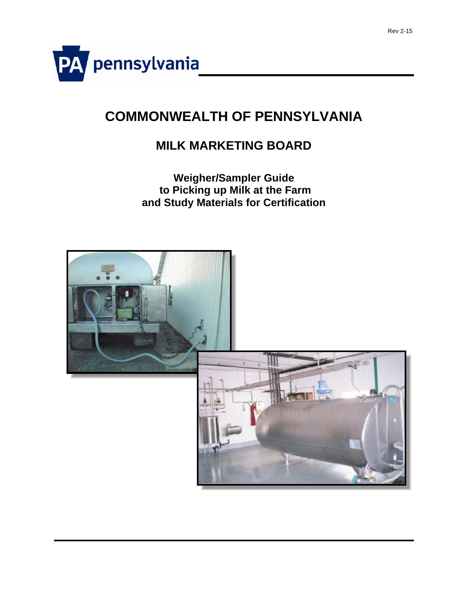

# **COMMONWEALTH OF PENNSYLVANIA**

## **MILK MARKETING BOARD**

### **Weigher/Sampler Guide to Picking up Milk at the Farm and Study Materials for Certification**

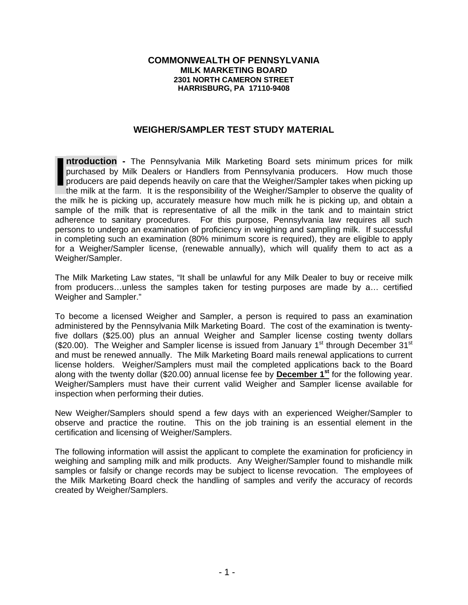#### **COMMONWEALTH OF PENNSYLVANIA MILK MARKETING BOARD 2301 NORTH CAMERON STREET HARRISBURG, PA 17110-9408**

#### **WEIGHER/SAMPLER TEST STUDY MATERIAL**

**ntroduction -** The Pennsylvania Milk Marketing Board sets minimum prices for milk purchased by Milk Dealers or Handlers from Pennsylvania producers. How much those producers are paid depends heavily on care that the Weigher/Sampler takes when picking up the milk at the farm. It is the responsibility of the Weigher/Sampler to observe the quality of the milk he is picking up, accurately measure how much milk he is picking up, and obtain a sample of the milk that is representative of all the milk in the tank and to maintain strict adherence to sanitary procedures. For this purpose, Pennsylvania law requires all such persons to undergo an examination of proficiency in weighing and sampling milk. If successful in completing such an examination (80% minimum score is required), they are eligible to apply for a Weigher/Sampler license, (renewable annually), which will qualify them to act as a Weigher/Sampler. **I**

The Milk Marketing Law states, "It shall be unlawful for any Milk Dealer to buy or receive milk from producers…unless the samples taken for testing purposes are made by a… certified Weigher and Sampler."

To become a licensed Weigher and Sampler, a person is required to pass an examination administered by the Pennsylvania Milk Marketing Board. The cost of the examination is twentyfive dollars (\$25.00) plus an annual Weigher and Sampler license costing twenty dollars (\$20.00). The Weigher and Sampler license is issued from January 1<sup>st</sup> through December 31<sup>st</sup> and must be renewed annually. The Milk Marketing Board mails renewal applications to current license holders. Weigher/Samplers must mail the completed applications back to the Board along with the twenty dollar (\$20.00) annual license fee by **December 1st** for the following year. Weigher/Samplers must have their current valid Weigher and Sampler license available for inspection when performing their duties.

New Weigher/Samplers should spend a few days with an experienced Weigher/Sampler to observe and practice the routine. This on the job training is an essential element in the certification and licensing of Weigher/Samplers.

The following information will assist the applicant to complete the examination for proficiency in weighing and sampling milk and milk products. Any Weigher/Sampler found to mishandle milk samples or falsify or change records may be subject to license revocation. The employees of the Milk Marketing Board check the handling of samples and verify the accuracy of records created by Weigher/Samplers.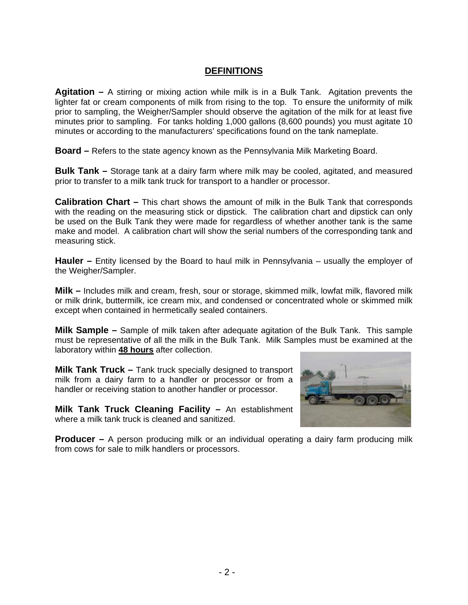#### **DEFINITIONS**

**Agitation –** A stirring or mixing action while milk is in a Bulk Tank. Agitation prevents the lighter fat or cream components of milk from rising to the top. To ensure the uniformity of milk prior to sampling, the Weigher/Sampler should observe the agitation of the milk for at least five minutes prior to sampling. For tanks holding 1,000 gallons (8,600 pounds) you must agitate 10 minutes or according to the manufacturers' specifications found on the tank nameplate.

**Board –** Refers to the state agency known as the Pennsylvania Milk Marketing Board.

**Bulk Tank –** Storage tank at a dairy farm where milk may be cooled, agitated, and measured prior to transfer to a milk tank truck for transport to a handler or processor.

**Calibration Chart –** This chart shows the amount of milk in the Bulk Tank that corresponds with the reading on the measuring stick or dipstick. The calibration chart and dipstick can only be used on the Bulk Tank they were made for regardless of whether another tank is the same make and model. A calibration chart will show the serial numbers of the corresponding tank and measuring stick.

**Hauler** – Entity licensed by the Board to haul milk in Pennsylvania – usually the employer of the Weigher/Sampler.

**Milk –** Includes milk and cream, fresh, sour or storage, skimmed milk, lowfat milk, flavored milk or milk drink, buttermilk, ice cream mix, and condensed or concentrated whole or skimmed milk except when contained in hermetically sealed containers.

**Milk Sample –** Sample of milk taken after adequate agitation of the Bulk Tank. This sample must be representative of all the milk in the Bulk Tank. Milk Samples must be examined at the laboratory within **48 hours** after collection.

**Milk Tank Truck –** Tank truck specially designed to transport milk from a dairy farm to a handler or processor or from a handler or receiving station to another handler or processor.

**Milk Tank Truck Cleaning Facility – An establishment** where a milk tank truck is cleaned and sanitized.



**Producer –** A person producing milk or an individual operating a dairy farm producing milk from cows for sale to milk handlers or processors.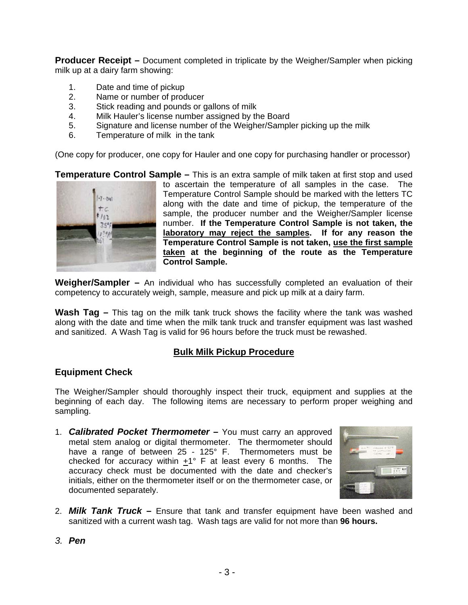**Producer Receipt –** Document completed in triplicate by the Weigher/Sampler when picking milk up at a dairy farm showing:

- 1. Date and time of pickup
- 2. Name or number of producer
- 3. Stick reading and pounds or gallons of milk
- 4. Milk Hauler's license number assigned by the Board
- 5. Signature and license number of the Weigher/Sampler picking up the milk
- 6. Temperature of milk in the tank

(One copy for producer, one copy for Hauler and one copy for purchasing handler or processor)

**Temperature Control Sample –** This is an extra sample of milk taken at first stop and used



to ascertain the temperature of all samples in the case. The Temperature Control Sample should be marked with the letters TC along with the date and time of pickup, the temperature of the sample, the producer number and the Weigher/Sampler license number. **If the Temperature Control Sample is not taken, the laboratory may reject the samples. If for any reason the Temperature Control Sample is not taken, use the first sample taken at the beginning of the route as the Temperature Control Sample.** 

**Weigher/Sampler –** An individual who has successfully completed an evaluation of their competency to accurately weigh, sample, measure and pick up milk at a dairy farm.

**Wash Tag –** This tag on the milk tank truck shows the facility where the tank was washed along with the date and time when the milk tank truck and transfer equipment was last washed and sanitized. A Wash Tag is valid for 96 hours before the truck must be rewashed.

#### **Bulk Milk Pickup Procedure**

#### **Equipment Check**

The Weigher/Sampler should thoroughly inspect their truck, equipment and supplies at the beginning of each day. The following items are necessary to perform proper weighing and sampling.

1. *Calibrated Pocket Thermometer* **–** You must carry an approved metal stem analog or digital thermometer. The thermometer should have a range of between 25 - 125° F. Thermometers must be checked for accuracy within  $+1^\circ$  F at least every 6 months. The accuracy check must be documented with the date and checker's initials, either on the thermometer itself or on the thermometer case, or documented separately.



- 2. *Milk Tank Truck*Ensure that tank and transfer equipment have been washed and sanitized with a current wash tag. Wash tags are valid for not more than **96 hours.**
- *3. Pen*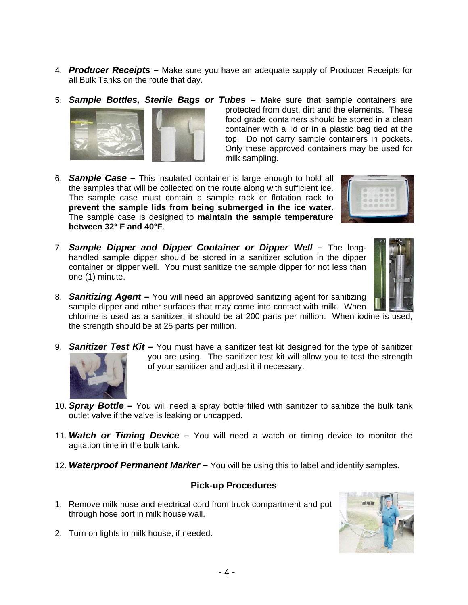- 4. *Producer Receipts* **–** Make sure you have an adequate supply of Producer Receipts for all Bulk Tanks on the route that day.
- 



- 5. *Sample Bottles, Sterile Bags or Tubes*Make sure that sample containers are protected from dust, dirt and the elements. These food grade containers should be stored in a clean container with a lid or in a plastic bag tied at the top. Do not carry sample containers in pockets. Only these approved containers may be used for milk sampling.
- 6. *Sample Case*This insulated container is large enough to hold all the samples that will be collected on the route along with sufficient ice. The sample case must contain a sample rack or flotation rack to **prevent the sample lids from being submerged in the ice water**. The sample case is designed to **maintain the sample temperature between 32° F and 40°F**.
- 7. *Sample Dipper and Dipper Container or Dipper Well*The longhandled sample dipper should be stored in a sanitizer solution in the dipper container or dipper well. You must sanitize the sample dipper for not less than one (1) minute.



8. *Sanitizing Agent* **–** You will need an approved sanitizing agent for sanitizing sample dipper and other surfaces that may come into contact with milk. When chlorine is used as a sanitizer, it should be at 200 parts per million. When iodine is used,

the strength should be at 25 parts per million.

- 9. *Sanitizer Test Kit* **–** You must have a sanitizer test kit designed for the type of sanitizer you are using. The sanitizer test kit will allow you to test the strength of your sanitizer and adjust it if necessary.
- 10. *Spray Bottle* You will need a spray bottle filled with sanitizer to sanitize the bulk tank outlet valve if the valve is leaking or uncapped.
- 11. *Watch or Timing Device* **–** You will need a watch or timing device to monitor the agitation time in the bulk tank.
- 12. *Waterproof Permanent Marker* **–** You will be using this to label and identify samples.

#### **Pick-up Procedures**

- 1. Remove milk hose and electrical cord from truck compartment and put through hose port in milk house wall.
- 2. Turn on lights in milk house, if needed.

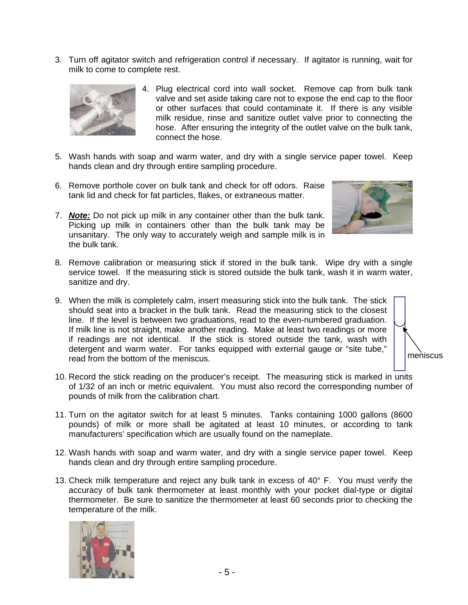3. Turn off agitator switch and refrigeration control if necessary. If agitator is running, wait for milk to come to complete rest.



- 4. Plug electrical cord into wall socket. Remove cap from bulk tank valve and set aside taking care not to expose the end cap to the floor or other surfaces that could contaminate it. If there is any visible milk residue, rinse and sanitize outlet valve prior to connecting the hose. After ensuring the integrity of the outlet valve on the bulk tank, connect the hose.
- 5. Wash hands with soap and warm water, and dry with a single service paper towel. Keep hands clean and dry through entire sampling procedure.
- 6. Remove porthole cover on bulk tank and check for off odors. Raise tank lid and check for fat particles, flakes, or extraneous matter.
- 7. *Note:* Do not pick up milk in any container other than the bulk tank. Picking up milk in containers other than the bulk tank may be unsanitary. The only way to accurately weigh and sample milk is in the bulk tank.



- 8. Remove calibration or measuring stick if stored in the bulk tank. Wipe dry with a single service towel. If the measuring stick is stored outside the bulk tank, wash it in warm water, sanitize and dry.
- 9. When the milk is completely calm, insert measuring stick into the bulk tank. The stick should seat into a bracket in the bulk tank. Read the measuring stick to the closest line. If the level is between two graduations, read to the even-numbered graduation. If milk line is not straight, make another reading. Make at least two readings or more if readings are not identical. If the stick is stored outside the tank, wash with detergent and warm water. For tanks equipped with external gauge or "site tube," read from the bottom of the meniscus.



- 10. Record the stick reading on the producer's receipt. The measuring stick is marked in units of 1/32 of an inch or metric equivalent. You must also record the corresponding number of pounds of milk from the calibration chart.
- 11. Turn on the agitator switch for at least 5 minutes. Tanks containing 1000 gallons (8600 pounds) of milk or more shall be agitated at least 10 minutes, or according to tank manufacturers' specification which are usually found on the nameplate.
- 12. Wash hands with soap and warm water, and dry with a single service paper towel. Keep hands clean and dry through entire sampling procedure.
- 13. Check milk temperature and reject any bulk tank in excess of 40° F. You must verify the accuracy of bulk tank thermometer at least monthly with your pocket dial-type or digital thermometer. Be sure to sanitize the thermometer at least 60 seconds prior to checking the temperature of the milk.